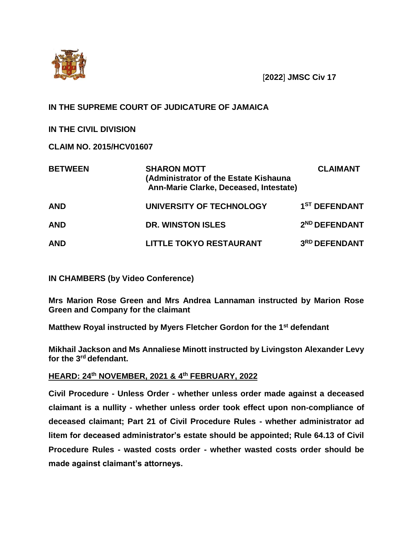

[**2022**] **JMSC Civ 17**

## **IN THE SUPREME COURT OF JUDICATURE OF JAMAICA**

**IN THE CIVIL DIVISION**

**CLAIM NO. 2015/HCV01607**

| <b>BETWEEN</b> | <b>SHARON MOTT</b><br>(Administrator of the Estate Kishauna<br>Ann-Marie Clarke, Deceased, Intestate) | <b>CLAIMANT</b>           |
|----------------|-------------------------------------------------------------------------------------------------------|---------------------------|
| <b>AND</b>     | UNIVERSITY OF TECHNOLOGY                                                                              | 1 <sup>ST</sup> DEFENDANT |
| <b>AND</b>     | <b>DR. WINSTON ISLES</b>                                                                              | 2 <sup>ND</sup> DEFENDANT |
| <b>AND</b>     | <b>LITTLE TOKYO RESTAURANT</b>                                                                        | 3RD DEFENDANT             |

**IN CHAMBERS (by Video Conference)**

**Mrs Marion Rose Green and Mrs Andrea Lannaman instructed by Marion Rose Green and Company for the claimant**

**Matthew Royal instructed by Myers Fletcher Gordon for the 1st defendant**

**Mikhail Jackson and Ms Annaliese Minott instructed by Livingston Alexander Levy for the 3rd defendant.**

## **HEARD: 24th NOVEMBER, 2021 & 4 th FEBRUARY, 2022**

**Civil Procedure - Unless Order - whether unless order made against a deceased claimant is a nullity - whether unless order took effect upon non-compliance of deceased claimant; Part 21 of Civil Procedure Rules - whether administrator ad litem for deceased administrator's estate should be appointed; Rule 64.13 of Civil Procedure Rules - wasted costs order - whether wasted costs order should be made against claimant's attorneys.**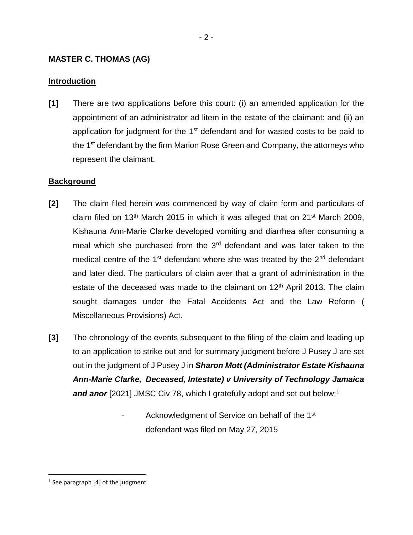## **MASTER C. THOMAS (AG)**

## **Introduction**

**[1]** There are two applications before this court: (i) an amended application for the appointment of an administrator ad litem in the estate of the claimant: and (ii) an application for judgment for the  $1<sup>st</sup>$  defendant and for wasted costs to be paid to the 1<sup>st</sup> defendant by the firm Marion Rose Green and Company, the attorneys who represent the claimant.

## **Background**

- **[2]** The claim filed herein was commenced by way of claim form and particulars of claim filed on 13<sup>th</sup> March 2015 in which it was alleged that on 21<sup>st</sup> March 2009, Kishauna Ann-Marie Clarke developed vomiting and diarrhea after consuming a meal which she purchased from the 3<sup>rd</sup> defendant and was later taken to the medical centre of the 1<sup>st</sup> defendant where she was treated by the  $2<sup>nd</sup>$  defendant and later died. The particulars of claim aver that a grant of administration in the estate of the deceased was made to the claimant on  $12<sup>th</sup>$  April 2013. The claim sought damages under the Fatal Accidents Act and the Law Reform ( Miscellaneous Provisions) Act.
- **[3]** The chronology of the events subsequent to the filing of the claim and leading up to an application to strike out and for summary judgment before J Pusey J are set out in the judgment of J Pusey J in *Sharon Mott (Administrator Estate Kishauna Ann-Marie Clarke, Deceased, Intestate) v University of Technology Jamaica*  **and anor** [2021] JMSC Civ 78, which I gratefully adopt and set out below:<sup>1</sup>
	- Acknowledgment of Service on behalf of the 1<sup>st</sup> defendant was filed on May 27, 2015

<sup>&</sup>lt;sup>1</sup> See paragraph [4] of the judgment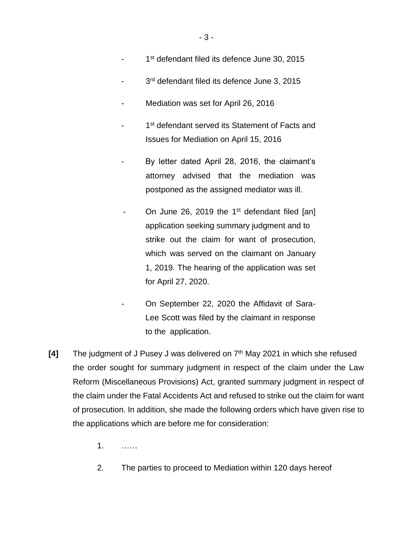- 1<sup>st</sup> defendant filed its defence June 30, 2015
- 3<sup>rd</sup> defendant filed its defence June 3, 2015
- Mediation was set for April 26, 2016
- 1<sup>st</sup> defendant served its Statement of Facts and Issues for Mediation on April 15, 2016
- By letter dated April 28, 2016, the claimant's attorney advised that the mediation was postponed as the assigned mediator was ill.
- On June 26, 2019 the  $1<sup>st</sup>$  defendant filed [an] application seeking summary judgment and to strike out the claim for want of prosecution, which was served on the claimant on January 1, 2019. The hearing of the application was set for April 27, 2020.
- On September 22, 2020 the Affidavit of Sara-Lee Scott was filed by the claimant in response to the application.
- **[4]** The judgment of J Pusey J was delivered on 7th May 2021 in which she refused the order sought for summary judgment in respect of the claim under the Law Reform (Miscellaneous Provisions) Act, granted summary judgment in respect of the claim under the Fatal Accidents Act and refused to strike out the claim for want of prosecution. In addition, she made the following orders which have given rise to the applications which are before me for consideration:
	- 1. ……
	- 2. The parties to proceed to Mediation within 120 days hereof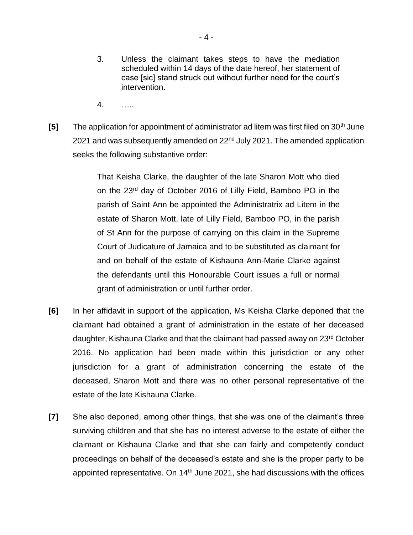- 3. Unless the claimant takes steps to have the mediation scheduled within 14 days of the date hereof, her statement of case [sic] stand struck out without further need for the court's intervention.
- 4. …..
- **[5]** The application for appointment of administrator ad litem was first filed on 30<sup>th</sup> June 2021 and was subsequently amended on 22<sup>nd</sup> July 2021. The amended application seeks the following substantive order:

That Keisha Clarke, the daughter of the late Sharon Mott who died on the 23rd day of October 2016 of Lilly Field, Bamboo PO in the parish of Saint Ann be appointed the Administratrix ad Litem in the estate of Sharon Mott, late of Lilly Field, Bamboo PO, in the parish of St Ann for the purpose of carrying on this claim in the Supreme Court of Judicature of Jamaica and to be substituted as claimant for and on behalf of the estate of Kishauna Ann-Marie Clarke against the defendants until this Honourable Court issues a full or normal grant of administration or until further order.

- **[6]** In her affidavit in support of the application, Ms Keisha Clarke deponed that the claimant had obtained a grant of administration in the estate of her deceased daughter, Kishauna Clarke and that the claimant had passed away on 23<sup>rd</sup> October 2016. No application had been made within this jurisdiction or any other jurisdiction for a grant of administration concerning the estate of the deceased, Sharon Mott and there was no other personal representative of the estate of the late Kishauna Clarke.
- **[7]** She also deponed, among other things, that she was one of the claimant's three surviving children and that she has no interest adverse to the estate of either the claimant or Kishauna Clarke and that she can fairly and competently conduct proceedings on behalf of the deceased's estate and she is the proper party to be appointed representative. On  $14<sup>th</sup>$  June 2021, she had discussions with the offices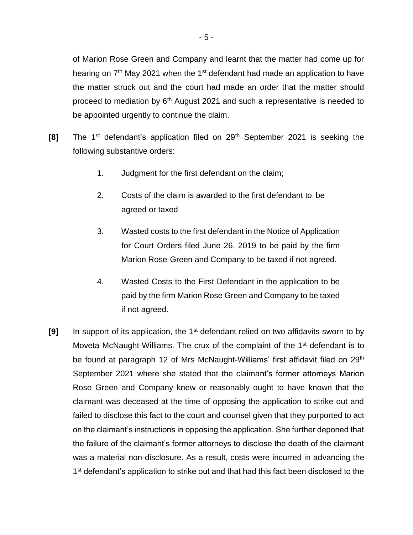of Marion Rose Green and Company and learnt that the matter had come up for hearing on 7<sup>th</sup> May 2021 when the 1<sup>st</sup> defendant had made an application to have the matter struck out and the court had made an order that the matter should proceed to mediation by  $6<sup>th</sup>$  August 2021 and such a representative is needed to be appointed urgently to continue the claim.

- **[8]** The 1<sup>st</sup> defendant's application filed on 29<sup>th</sup> September 2021 is seeking the following substantive orders:
	- 1. Judgment for the first defendant on the claim;
	- 2. Costs of the claim is awarded to the first defendant to be agreed or taxed
	- 3. Wasted costs to the first defendant in the Notice of Application for Court Orders filed June 26, 2019 to be paid by the firm Marion Rose-Green and Company to be taxed if not agreed.
	- 4. Wasted Costs to the First Defendant in the application to be paid by the firm Marion Rose Green and Company to be taxed if not agreed.
- **[9]** In support of its application, the 1st defendant relied on two affidavits sworn to by Moveta McNaught-Williams. The crux of the complaint of the 1<sup>st</sup> defendant is to be found at paragraph 12 of Mrs McNaught-Williams' first affidavit filed on 29<sup>th</sup> September 2021 where she stated that the claimant's former attorneys Marion Rose Green and Company knew or reasonably ought to have known that the claimant was deceased at the time of opposing the application to strike out and failed to disclose this fact to the court and counsel given that they purported to act on the claimant's instructions in opposing the application. She further deponed that the failure of the claimant's former attorneys to disclose the death of the claimant was a material non-disclosure. As a result, costs were incurred in advancing the 1<sup>st</sup> defendant's application to strike out and that had this fact been disclosed to the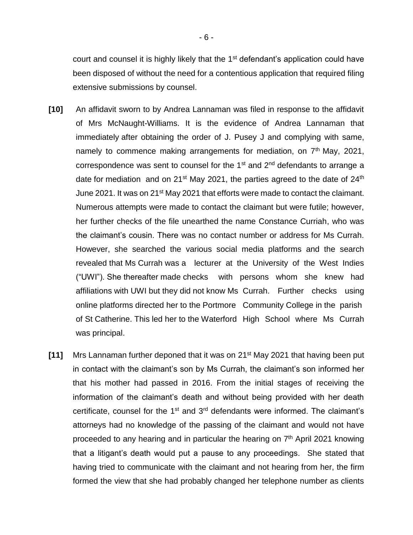court and counsel it is highly likely that the 1<sup>st</sup> defendant's application could have been disposed of without the need for a contentious application that required filing extensive submissions by counsel.

- **[10]** An affidavit sworn to by Andrea Lannaman was filed in response to the affidavit of Mrs McNaught-Williams. It is the evidence of Andrea Lannaman that immediately after obtaining the order of J. Pusey J and complying with same, namely to commence making arrangements for mediation, on  $7<sup>th</sup>$  May, 2021, correspondence was sent to counsel for the 1<sup>st</sup> and 2<sup>nd</sup> defendants to arrange a date for mediation and on  $21^{st}$  May 2021, the parties agreed to the date of  $24^{th}$ June 2021. It was on 21<sup>st</sup> May 2021 that efforts were made to contact the claimant. Numerous attempts were made to contact the claimant but were futile; however, her further checks of the file unearthed the name Constance Curriah, who was the claimant's cousin. There was no contact number or address for Ms Currah. However, she searched the various social media platforms and the search revealed that Ms Currah was a lecturer at the University of the West Indies ("UWI"). She thereafter made checks with persons whom she knew had affiliations with UWI but they did not know Ms Currah. Further checks using online platforms directed her to the Portmore Community College in the parish of St Catherine. This led her to the Waterford High School where Ms Currah was principal.
- **[11]** Mrs Lannaman further deponed that it was on 21st May 2021 that having been put in contact with the claimant's son by Ms Currah, the claimant's son informed her that his mother had passed in 2016. From the initial stages of receiving the information of the claimant's death and without being provided with her death certificate, counsel for the  $1<sup>st</sup>$  and  $3<sup>rd</sup>$  defendants were informed. The claimant's attorneys had no knowledge of the passing of the claimant and would not have proceeded to any hearing and in particular the hearing on  $7<sup>th</sup>$  April 2021 knowing that a litigant's death would put a pause to any proceedings. She stated that having tried to communicate with the claimant and not hearing from her, the firm formed the view that she had probably changed her telephone number as clients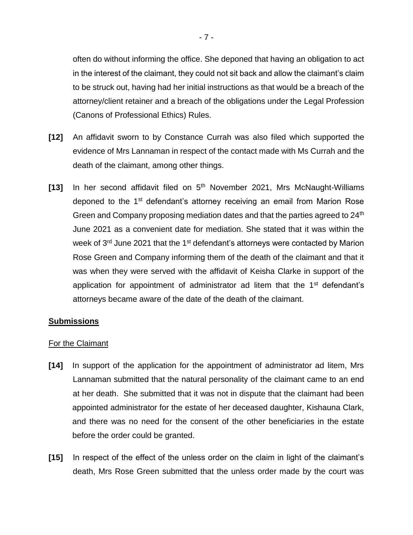often do without informing the office. She deponed that having an obligation to act in the interest of the claimant, they could not sit back and allow the claimant's claim to be struck out, having had her initial instructions as that would be a breach of the attorney/client retainer and a breach of the obligations under the Legal Profession (Canons of Professional Ethics) Rules.

- **[12]** An affidavit sworn to by Constance Currah was also filed which supported the evidence of Mrs Lannaman in respect of the contact made with Ms Currah and the death of the claimant, among other things.
- **[13]** In her second affidavit filed on 5th November 2021, Mrs McNaught-Williams deponed to the 1<sup>st</sup> defendant's attorney receiving an email from Marion Rose Green and Company proposing mediation dates and that the parties agreed to 24<sup>th</sup> June 2021 as a convenient date for mediation. She stated that it was within the week of  $3<sup>rd</sup>$  June 2021 that the 1<sup>st</sup> defendant's attorneys were contacted by Marion Rose Green and Company informing them of the death of the claimant and that it was when they were served with the affidavit of Keisha Clarke in support of the application for appointment of administrator ad litem that the 1<sup>st</sup> defendant's attorneys became aware of the date of the death of the claimant.

#### **Submissions**

#### For the Claimant

- **[14]** In support of the application for the appointment of administrator ad litem, Mrs Lannaman submitted that the natural personality of the claimant came to an end at her death. She submitted that it was not in dispute that the claimant had been appointed administrator for the estate of her deceased daughter, Kishauna Clark, and there was no need for the consent of the other beneficiaries in the estate before the order could be granted.
- **[15]** In respect of the effect of the unless order on the claim in light of the claimant's death, Mrs Rose Green submitted that the unless order made by the court was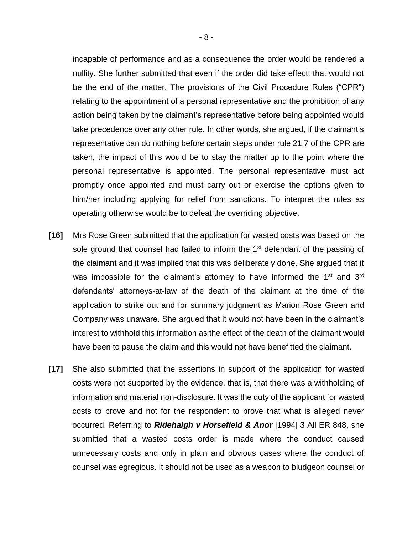incapable of performance and as a consequence the order would be rendered a nullity. She further submitted that even if the order did take effect, that would not be the end of the matter. The provisions of the Civil Procedure Rules ("CPR") relating to the appointment of a personal representative and the prohibition of any action being taken by the claimant's representative before being appointed would take precedence over any other rule. In other words, she argued, if the claimant's representative can do nothing before certain steps under rule 21.7 of the CPR are taken, the impact of this would be to stay the matter up to the point where the personal representative is appointed. The personal representative must act promptly once appointed and must carry out or exercise the options given to him/her including applying for relief from sanctions. To interpret the rules as operating otherwise would be to defeat the overriding objective.

- **[16]** Mrs Rose Green submitted that the application for wasted costs was based on the sole ground that counsel had failed to inform the 1<sup>st</sup> defendant of the passing of the claimant and it was implied that this was deliberately done. She argued that it was impossible for the claimant's attorney to have informed the 1<sup>st</sup> and 3<sup>rd</sup> defendants' attorneys-at-law of the death of the claimant at the time of the application to strike out and for summary judgment as Marion Rose Green and Company was unaware. She argued that it would not have been in the claimant's interest to withhold this information as the effect of the death of the claimant would have been to pause the claim and this would not have benefitted the claimant.
- **[17]** She also submitted that the assertions in support of the application for wasted costs were not supported by the evidence, that is, that there was a withholding of information and material non-disclosure. It was the duty of the applicant for wasted costs to prove and not for the respondent to prove that what is alleged never occurred. Referring to *Ridehalgh v Horsefield & Anor* [1994] 3 All ER 848, she submitted that a wasted costs order is made where the conduct caused unnecessary costs and only in plain and obvious cases where the conduct of counsel was egregious. It should not be used as a weapon to bludgeon counsel or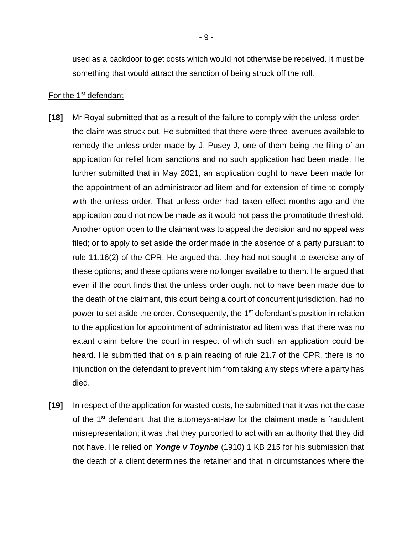used as a backdoor to get costs which would not otherwise be received. It must be something that would attract the sanction of being struck off the roll.

#### For the 1<sup>st</sup> defendant

- **[18]** Mr Royal submitted that as a result of the failure to comply with the unless order, the claim was struck out. He submitted that there were three avenues available to remedy the unless order made by J. Pusey J, one of them being the filing of an application for relief from sanctions and no such application had been made. He further submitted that in May 2021, an application ought to have been made for the appointment of an administrator ad litem and for extension of time to comply with the unless order. That unless order had taken effect months ago and the application could not now be made as it would not pass the promptitude threshold. Another option open to the claimant was to appeal the decision and no appeal was filed; or to apply to set aside the order made in the absence of a party pursuant to rule 11.16(2) of the CPR. He argued that they had not sought to exercise any of these options; and these options were no longer available to them. He argued that even if the court finds that the unless order ought not to have been made due to the death of the claimant, this court being a court of concurrent jurisdiction, had no power to set aside the order. Consequently, the 1<sup>st</sup> defendant's position in relation to the application for appointment of administrator ad litem was that there was no extant claim before the court in respect of which such an application could be heard. He submitted that on a plain reading of rule 21.7 of the CPR, there is no injunction on the defendant to prevent him from taking any steps where a party has died.
- **[19]** In respect of the application for wasted costs, he submitted that it was not the case of the 1<sup>st</sup> defendant that the attorneys-at-law for the claimant made a fraudulent misrepresentation; it was that they purported to act with an authority that they did not have. He relied on *Yonge v Toynbe* (1910) 1 KB 215 for his submission that the death of a client determines the retainer and that in circumstances where the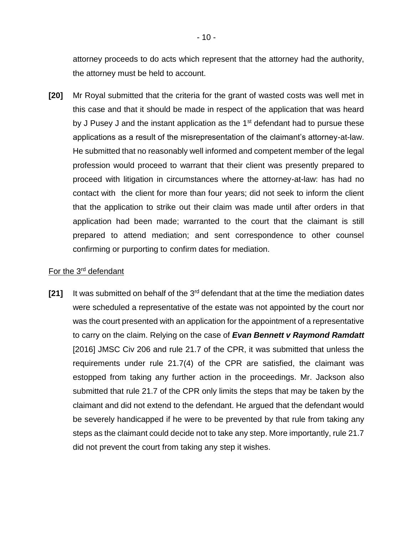attorney proceeds to do acts which represent that the attorney had the authority, the attorney must be held to account.

**[20]** Mr Royal submitted that the criteria for the grant of wasted costs was well met in this case and that it should be made in respect of the application that was heard by J Pusey J and the instant application as the  $1<sup>st</sup>$  defendant had to pursue these applications as a result of the misrepresentation of the claimant's attorney-at-law. He submitted that no reasonably well informed and competent member of the legal profession would proceed to warrant that their client was presently prepared to proceed with litigation in circumstances where the attorney-at-law: has had no contact with the client for more than four years; did not seek to inform the client that the application to strike out their claim was made until after orders in that application had been made; warranted to the court that the claimant is still prepared to attend mediation; and sent correspondence to other counsel confirming or purporting to confirm dates for mediation.

#### For the 3<sup>rd</sup> defendant

**[21]** It was submitted on behalf of the 3rd defendant that at the time the mediation dates were scheduled a representative of the estate was not appointed by the court nor was the court presented with an application for the appointment of a representative to carry on the claim. Relying on the case of *Evan Bennett v Raymond Ramdatt* [2016] JMSC Civ 206 and rule 21.7 of the CPR, it was submitted that unless the requirements under rule 21.7(4) of the CPR are satisfied, the claimant was estopped from taking any further action in the proceedings. Mr. Jackson also submitted that rule 21.7 of the CPR only limits the steps that may be taken by the claimant and did not extend to the defendant. He argued that the defendant would be severely handicapped if he were to be prevented by that rule from taking any steps as the claimant could decide not to take any step. More importantly, rule 21.7 did not prevent the court from taking any step it wishes.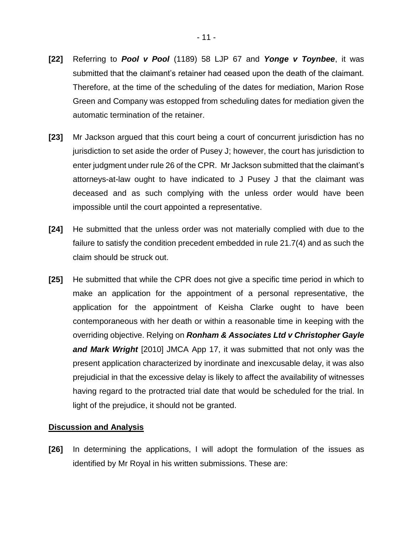- **[22]** Referring to *Pool v Pool* (1189) 58 LJP 67 and *Yonge v Toynbee*, it was submitted that the claimant's retainer had ceased upon the death of the claimant. Therefore, at the time of the scheduling of the dates for mediation, Marion Rose Green and Company was estopped from scheduling dates for mediation given the automatic termination of the retainer.
- **[23]** Mr Jackson argued that this court being a court of concurrent jurisdiction has no jurisdiction to set aside the order of Pusey J; however, the court has jurisdiction to enter judgment under rule 26 of the CPR. Mr Jackson submitted that the claimant's attorneys-at-law ought to have indicated to J Pusey J that the claimant was deceased and as such complying with the unless order would have been impossible until the court appointed a representative.
- **[24]** He submitted that the unless order was not materially complied with due to the failure to satisfy the condition precedent embedded in rule 21.7(4) and as such the claim should be struck out.
- **[25]** He submitted that while the CPR does not give a specific time period in which to make an application for the appointment of a personal representative, the application for the appointment of Keisha Clarke ought to have been contemporaneous with her death or within a reasonable time in keeping with the overriding objective. Relying on *Ronham & Associates Ltd v Christopher Gayle and Mark Wright* [2010] JMCA App 17, it was submitted that not only was the present application characterized by inordinate and inexcusable delay, it was also prejudicial in that the excessive delay is likely to affect the availability of witnesses having regard to the protracted trial date that would be scheduled for the trial. In light of the prejudice, it should not be granted.

#### **Discussion and Analysis**

**[26]** In determining the applications, I will adopt the formulation of the issues as identified by Mr Royal in his written submissions. These are: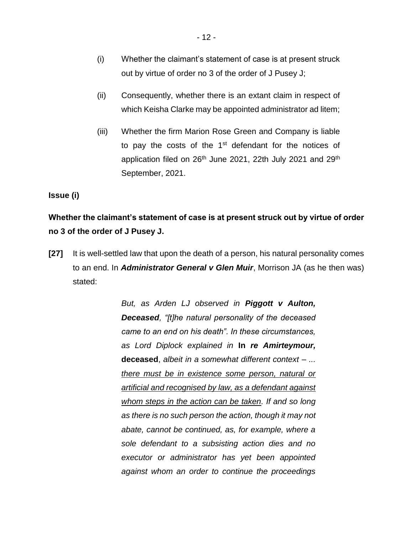- (i) Whether the claimant's statement of case is at present struck out by virtue of order no 3 of the order of J Pusey J;
- (ii) Consequently, whether there is an extant claim in respect of which Keisha Clarke may be appointed administrator ad litem;
- (iii) Whether the firm Marion Rose Green and Company is liable to pay the costs of the 1<sup>st</sup> defendant for the notices of application filed on  $26<sup>th</sup>$  June 2021, 22th July 2021 and 29<sup>th</sup> September, 2021.

**Issue (i)**

**Whether the claimant's statement of case is at present struck out by virtue of order no 3 of the order of J Pusey J.**

**[27]** It is well-settled law that upon the death of a person, his natural personality comes to an end. In *Administrator General v Glen Muir*, Morrison JA (as he then was) stated:

> *But, as Arden LJ observed in Piggott v Aulton, Deceased, "[t]he natural personality of the deceased came to an end on his death". In these circumstances, as Lord Diplock explained in* **In** *re Amirteymour,*  **deceased**, *albeit in a somewhat different context – ... there must be in existence some person, natural or artificial and recognised by law, as a defendant against whom steps in the action can be taken. If and so long as there is no such person the action, though it may not abate, cannot be continued, as, for example, where a sole defendant to a subsisting action dies and no executor or administrator has yet been appointed against whom an order to continue the proceedings*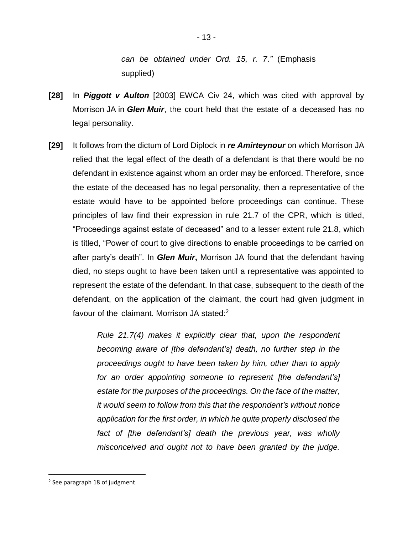*can be obtained under Ord. 15, r. 7."* (Emphasis supplied)

- **[28]** In *Piggott v Aulton* [2003] EWCA Civ 24, which was cited with approval by Morrison JA in *Glen Muir*, the court held that the estate of a deceased has no legal personality.
- **[29]** It follows from the dictum of Lord Diplock in *re Amirteynour* on which Morrison JA relied that the legal effect of the death of a defendant is that there would be no defendant in existence against whom an order may be enforced. Therefore, since the estate of the deceased has no legal personality, then a representative of the estate would have to be appointed before proceedings can continue. These principles of law find their expression in rule 21.7 of the CPR, which is titled, "Proceedings against estate of deceased" and to a lesser extent rule 21.8, which is titled, "Power of court to give directions to enable proceedings to be carried on after party's death". In *Glen Muir***,** Morrison JA found that the defendant having died, no steps ought to have been taken until a representative was appointed to represent the estate of the defendant. In that case, subsequent to the death of the defendant, on the application of the claimant, the court had given judgment in favour of the claimant. Morrison JA stated:<sup>2</sup>

*Rule 21.7(4) makes it explicitly clear that, upon the respondent becoming aware of [the defendant's] death, no further step in the proceedings ought to have been taken by him, other than to apply for an order appointing someone to represent [the defendant's] estate for the purposes of the proceedings. On the face of the matter, it would seem to follow from this that the respondent's without notice application for the first order, in which he quite properly disclosed the fact of [the defendant's] death the previous year, was wholly misconceived and ought not to have been granted by the judge.* 

<sup>&</sup>lt;sup>2</sup> See paragraph 18 of judgment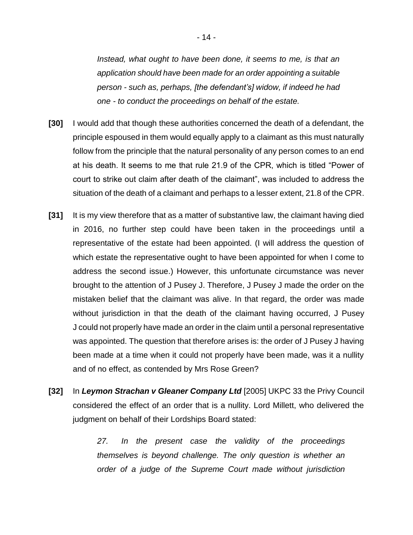*Instead, what ought to have been done, it seems to me, is that an application should have been made for an order appointing a suitable person - such as, perhaps, [the defendant's] widow, if indeed he had one - to conduct the proceedings on behalf of the estate.*

- **[30]** I would add that though these authorities concerned the death of a defendant, the principle espoused in them would equally apply to a claimant as this must naturally follow from the principle that the natural personality of any person comes to an end at his death. It seems to me that rule 21.9 of the CPR, which is titled "Power of court to strike out claim after death of the claimant", was included to address the situation of the death of a claimant and perhaps to a lesser extent, 21.8 of the CPR.
- **[31]** It is my view therefore that as a matter of substantive law, the claimant having died in 2016, no further step could have been taken in the proceedings until a representative of the estate had been appointed. (I will address the question of which estate the representative ought to have been appointed for when I come to address the second issue.) However, this unfortunate circumstance was never brought to the attention of J Pusey J. Therefore, J Pusey J made the order on the mistaken belief that the claimant was alive. In that regard, the order was made without jurisdiction in that the death of the claimant having occurred, J Pusey J could not properly have made an order in the claim until a personal representative was appointed. The question that therefore arises is: the order of J Pusey J having been made at a time when it could not properly have been made, was it a nullity and of no effect, as contended by Mrs Rose Green?
- **[32]** In *Leymon Strachan v Gleaner Company Ltd* [2005] UKPC 33 the Privy Council considered the effect of an order that is a nullity. Lord Millett, who delivered the judgment on behalf of their Lordships Board stated:

*27. In the present case the validity of the proceedings themselves is beyond challenge. The only question is whether an order of a judge of the Supreme Court made without jurisdiction*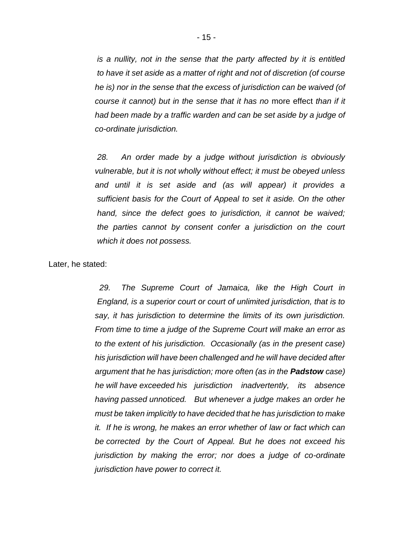*is a nullity, not in the sense that the party affected by it is entitled to have it set aside as a matter of right and not of discretion (of course he is) nor in the sense that the excess of jurisdiction can be waived (of course it cannot) but in the sense that it has no* more effect *than if it had been made by a traffic warden and can be set aside by a judge of co-ordinate jurisdiction.*

*28. An order made by a judge without jurisdiction is obviously vulnerable, but it is not wholly without effect; it must be obeyed unless and until it is set aside and (as will appear) it provides a sufficient basis for the Court of Appeal to set it aside. On the other hand, since the defect goes to jurisdiction, it cannot be waived; the parties cannot by consent confer a jurisdiction on the court which it does not possess.*

Later, he stated:

*29. The Supreme Court of Jamaica, like the High Court in England, is a superior court or court of unlimited jurisdiction, that is to say, it has jurisdiction to determine the limits of its own jurisdiction. From time to time a judge of the Supreme Court will make an error as to the extent of his jurisdiction. Occasionally (as in the present case) his jurisdiction will have been challenged and he will have decided after argument that he has jurisdiction; more often (as in the Padstow case) he will have exceeded his jurisdiction inadvertently, its absence having passed unnoticed. But whenever a judge makes an order he must be taken implicitly to have decided that he has jurisdiction to make it. If he is wrong, he makes an error whether of law or fact which can be corrected by the Court of Appeal. But he does not exceed his jurisdiction by making the error; nor does a judge of co-ordinate jurisdiction have power to correct it.*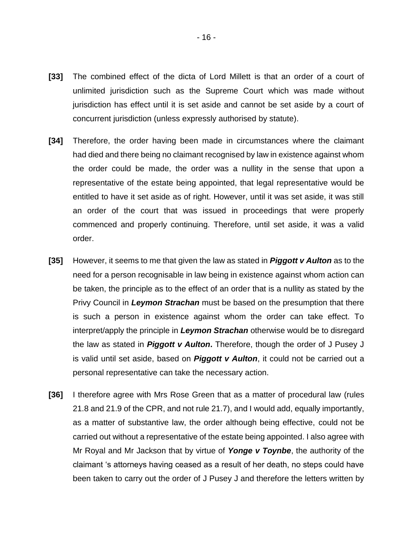- **[33]** The combined effect of the dicta of Lord Millett is that an order of a court of unlimited jurisdiction such as the Supreme Court which was made without jurisdiction has effect until it is set aside and cannot be set aside by a court of concurrent jurisdiction (unless expressly authorised by statute).
- **[34]** Therefore, the order having been made in circumstances where the claimant had died and there being no claimant recognised by law in existence against whom the order could be made, the order was a nullity in the sense that upon a representative of the estate being appointed, that legal representative would be entitled to have it set aside as of right. However, until it was set aside, it was still an order of the court that was issued in proceedings that were properly commenced and properly continuing. Therefore, until set aside, it was a valid order.
- **[35]** However, it seems to me that given the law as stated in *Piggott v Aulton* as to the need for a person recognisable in law being in existence against whom action can be taken, the principle as to the effect of an order that is a nullity as stated by the Privy Council in *Leymon Strachan* must be based on the presumption that there is such a person in existence against whom the order can take effect. To interpret/apply the principle in *Leymon Strachan* otherwise would be to disregard the law as stated in *Piggott v Aulton***.** Therefore, though the order of J Pusey J is valid until set aside, based on *Piggott v Aulton*, it could not be carried out a personal representative can take the necessary action.
- **[36]** I therefore agree with Mrs Rose Green that as a matter of procedural law (rules 21.8 and 21.9 of the CPR, and not rule 21.7), and I would add, equally importantly, as a matter of substantive law, the order although being effective, could not be carried out without a representative of the estate being appointed. I also agree with Mr Royal and Mr Jackson that by virtue of *Yonge v Toynbe*, the authority of the claimant 's attorneys having ceased as a result of her death, no steps could have been taken to carry out the order of J Pusey J and therefore the letters written by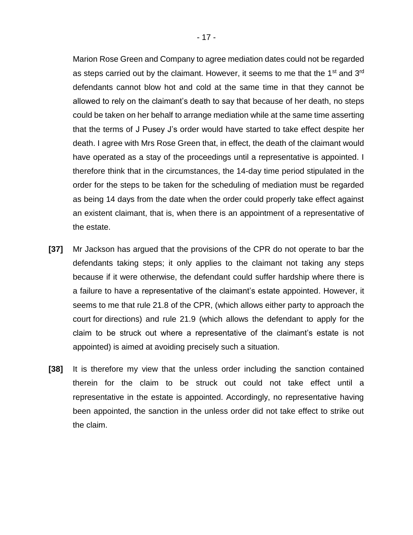Marion Rose Green and Company to agree mediation dates could not be regarded as steps carried out by the claimant. However, it seems to me that the 1<sup>st</sup> and 3<sup>rd</sup> defendants cannot blow hot and cold at the same time in that they cannot be allowed to rely on the claimant's death to say that because of her death, no steps could be taken on her behalf to arrange mediation while at the same time asserting that the terms of J Pusey J's order would have started to take effect despite her death. I agree with Mrs Rose Green that, in effect, the death of the claimant would have operated as a stay of the proceedings until a representative is appointed. I therefore think that in the circumstances, the 14-day time period stipulated in the order for the steps to be taken for the scheduling of mediation must be regarded as being 14 days from the date when the order could properly take effect against an existent claimant, that is, when there is an appointment of a representative of the estate.

- **[37]** Mr Jackson has argued that the provisions of the CPR do not operate to bar the defendants taking steps; it only applies to the claimant not taking any steps because if it were otherwise, the defendant could suffer hardship where there is a failure to have a representative of the claimant's estate appointed. However, it seems to me that rule 21.8 of the CPR, (which allows either party to approach the court for directions) and rule 21.9 (which allows the defendant to apply for the claim to be struck out where a representative of the claimant's estate is not appointed) is aimed at avoiding precisely such a situation.
- **[38]** It is therefore my view that the unless order including the sanction contained therein for the claim to be struck out could not take effect until a representative in the estate is appointed. Accordingly, no representative having been appointed, the sanction in the unless order did not take effect to strike out the claim.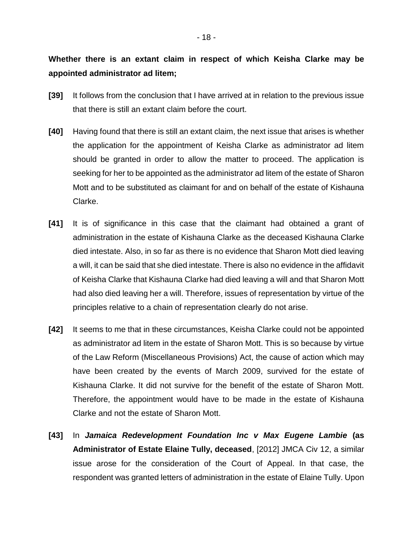## **Whether there is an extant claim in respect of which Keisha Clarke may be appointed administrator ad litem;**

- **[39]** It follows from the conclusion that I have arrived at in relation to the previous issue that there is still an extant claim before the court.
- **[40]** Having found that there is still an extant claim, the next issue that arises is whether the application for the appointment of Keisha Clarke as administrator ad litem should be granted in order to allow the matter to proceed. The application is seeking for her to be appointed as the administrator ad litem of the estate of Sharon Mott and to be substituted as claimant for and on behalf of the estate of Kishauna Clarke.
- **[41]** It is of significance in this case that the claimant had obtained a grant of administration in the estate of Kishauna Clarke as the deceased Kishauna Clarke died intestate. Also, in so far as there is no evidence that Sharon Mott died leaving a will, it can be said that she died intestate. There is also no evidence in the affidavit of Keisha Clarke that Kishauna Clarke had died leaving a will and that Sharon Mott had also died leaving her a will. Therefore, issues of representation by virtue of the principles relative to a chain of representation clearly do not arise.
- **[42]** It seems to me that in these circumstances, Keisha Clarke could not be appointed as administrator ad litem in the estate of Sharon Mott. This is so because by virtue of the Law Reform (Miscellaneous Provisions) Act, the cause of action which may have been created by the events of March 2009, survived for the estate of Kishauna Clarke. It did not survive for the benefit of the estate of Sharon Mott. Therefore, the appointment would have to be made in the estate of Kishauna Clarke and not the estate of Sharon Mott.
- **[43]** In *Jamaica Redevelopment Foundation Inc v Max Eugene Lambie* **(as Administrator of Estate Elaine Tully, deceased**, [2012] JMCA Civ 12, a similar issue arose for the consideration of the Court of Appeal. In that case, the respondent was granted letters of administration in the estate of Elaine Tully. Upon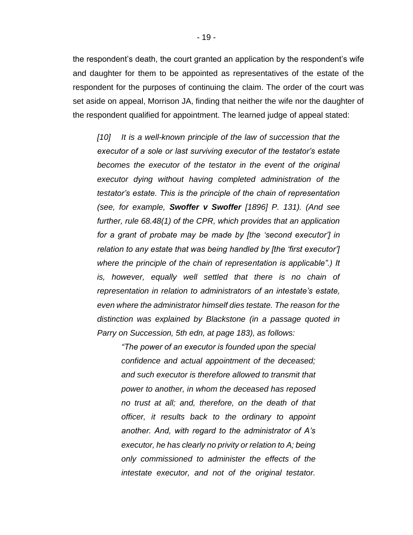the respondent's death, the court granted an application by the respondent's wife and daughter for them to be appointed as representatives of the estate of the respondent for the purposes of continuing the claim. The order of the court was set aside on appeal, Morrison JA, finding that neither the wife nor the daughter of the respondent qualified for appointment. The learned judge of appeal stated:

*[10] It is a well-known principle of the law of succession that the executor of a sole or last surviving executor of the testator's estate becomes the executor of the testator in the event of the original executor dying without having completed administration of the testator's estate. This is the principle of the chain of representation (see, for example, Swoffer v Swoffer [1896] P. 131). (And see further, rule 68.48(1) of the CPR, which provides that an application for a grant of probate may be made by [the 'second executor'] in relation to any estate that was being handled by [the 'first executor'] where the principle of the chain of representation is applicable".) It*  is, however, equally well settled that there is no chain of *representation in relation to administrators of an intestate's estate, even where the administrator himself dies testate. The reason for the distinction was explained by Blackstone (in a passage quoted in Parry on Succession, 5th edn, at page 183), as follows:*

*"The power of an executor is founded upon the special confidence and actual appointment of the deceased; and such executor is therefore allowed to transmit that power to another, in whom the deceased has reposed no trust at all; and, therefore, on the death of that officer, it results back to the ordinary to appoint another. And, with regard to the administrator of A's executor, he has clearly no privity or relation to A; being only commissioned to administer the effects of the intestate executor, and not of the original testator.*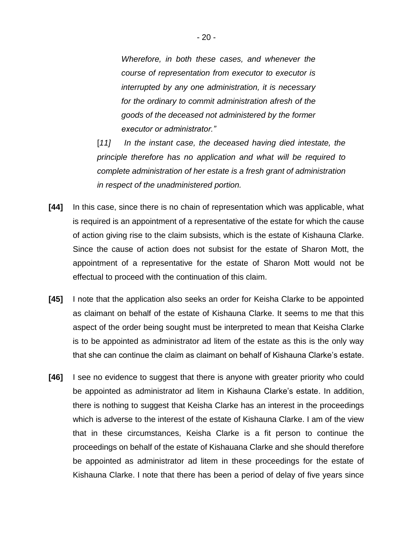*Wherefore, in both these cases, and whenever the course of representation from executor to executor is interrupted by any one administration, it is necessary for the ordinary to commit administration afresh of the goods of the deceased not administered by the former executor or administrator."* 

[11] In the instant case, the deceased having died intestate, the *principle therefore has no application and what will be required to complete administration of her estate is a fresh grant of administration in respect of the unadministered portion.*

- **[44]** In this case, since there is no chain of representation which was applicable, what is required is an appointment of a representative of the estate for which the cause of action giving rise to the claim subsists, which is the estate of Kishauna Clarke. Since the cause of action does not subsist for the estate of Sharon Mott, the appointment of a representative for the estate of Sharon Mott would not be effectual to proceed with the continuation of this claim.
- **[45]** I note that the application also seeks an order for Keisha Clarke to be appointed as claimant on behalf of the estate of Kishauna Clarke. It seems to me that this aspect of the order being sought must be interpreted to mean that Keisha Clarke is to be appointed as administrator ad litem of the estate as this is the only way that she can continue the claim as claimant on behalf of Kishauna Clarke's estate.
- **[46]** I see no evidence to suggest that there is anyone with greater priority who could be appointed as administrator ad litem in Kishauna Clarke's estate. In addition, there is nothing to suggest that Keisha Clarke has an interest in the proceedings which is adverse to the interest of the estate of Kishauna Clarke. I am of the view that in these circumstances, Keisha Clarke is a fit person to continue the proceedings on behalf of the estate of Kishauana Clarke and she should therefore be appointed as administrator ad litem in these proceedings for the estate of Kishauna Clarke. I note that there has been a period of delay of five years since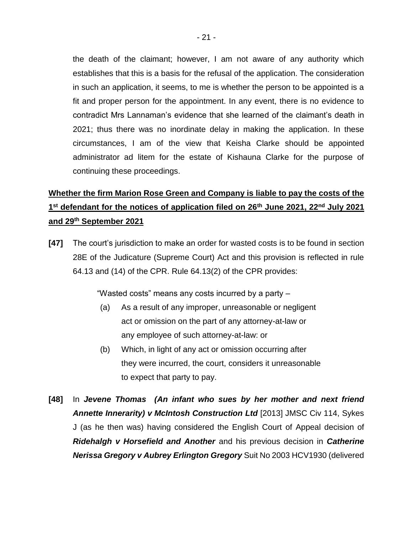the death of the claimant; however, I am not aware of any authority which establishes that this is a basis for the refusal of the application. The consideration in such an application, it seems, to me is whether the person to be appointed is a fit and proper person for the appointment. In any event, there is no evidence to contradict Mrs Lannaman's evidence that she learned of the claimant's death in 2021; thus there was no inordinate delay in making the application. In these circumstances, I am of the view that Keisha Clarke should be appointed administrator ad litem for the estate of Kishauna Clarke for the purpose of continuing these proceedings.

# **Whether the firm Marion Rose Green and Company is liable to pay the costs of the 1 st defendant for the notices of application filed on 26th June 2021, 22nd July 2021 and 29th September 2021**

**[47]** The court's jurisdiction to make an order for wasted costs is to be found in section 28E of the Judicature (Supreme Court) Act and this provision is reflected in rule 64.13 and (14) of the CPR. Rule 64.13(2) of the CPR provides:

"Wasted costs" means any costs incurred by a party –

- (a) As a result of any improper, unreasonable or negligent act or omission on the part of any attorney-at-law or any employee of such attorney-at-law: or
- (b) Which, in light of any act or omission occurring after they were incurred, the court, considers it unreasonable to expect that party to pay.
- **[48]** In *Jevene Thomas (An infant who sues by her mother and next friend Annette Innerarity) v McIntosh Construction Ltd* [2013] JMSC Civ 114, Sykes J (as he then was) having considered the English Court of Appeal decision of *Ridehalgh v Horsefield and Another* and his previous decision in *Catherine Nerissa Gregory v Aubrey Erlington Gregory* Suit No 2003 HCV1930 (delivered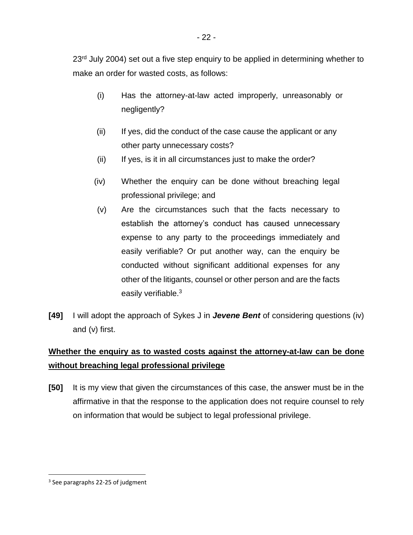23<sup>rd</sup> July 2004) set out a five step enquiry to be applied in determining whether to make an order for wasted costs, as follows:

- (i) Has the attorney-at-law acted improperly, unreasonably or negligently?
- (ii) If yes, did the conduct of the case cause the applicant or any other party unnecessary costs?
- (ii) If yes, is it in all circumstances just to make the order?
- (iv) Whether the enquiry can be done without breaching legal professional privilege; and
- (v) Are the circumstances such that the facts necessary to establish the attorney's conduct has caused unnecessary expense to any party to the proceedings immediately and easily verifiable? Or put another way, can the enquiry be conducted without significant additional expenses for any other of the litigants, counsel or other person and are the facts easily verifiable.<sup>3</sup>
- **[49]** I will adopt the approach of Sykes J in *Jevene Bent* of considering questions (iv) and (v) first.

# **Whether the enquiry as to wasted costs against the attorney-at-law can be done without breaching legal professional privilege**

**[50]** It is my view that given the circumstances of this case, the answer must be in the affirmative in that the response to the application does not require counsel to rely on information that would be subject to legal professional privilege.

<sup>&</sup>lt;sup>3</sup> See paragraphs 22-25 of judgment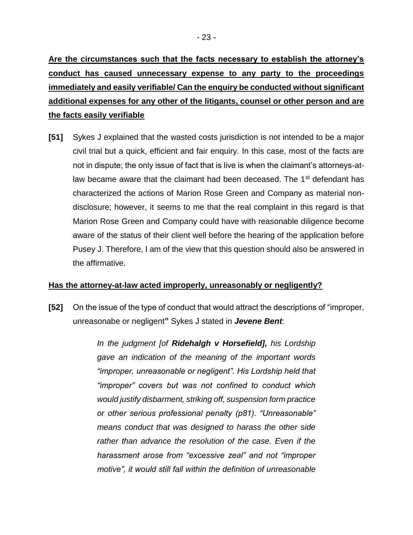**Are the circumstances such that the facts necessary to establish the attorney's conduct has caused unnecessary expense to any party to the proceedings immediately and easily verifiable/ Can the enquiry be conducted without significant additional expenses for any other of the litigants, counsel or other person and are the facts easily verifiable**

**[51]** Sykes J explained that the wasted costs jurisdiction is not intended to be a major civil trial but a quick, efficient and fair enquiry. In this case, most of the facts are not in dispute; the only issue of fact that is live is when the claimant's attorneys-atlaw became aware that the claimant had been deceased. The 1<sup>st</sup> defendant has characterized the actions of Marion Rose Green and Company as material nondisclosure; however, it seems to me that the real complaint in this regard is that Marion Rose Green and Company could have with reasonable diligence become aware of the status of their client well before the hearing of the application before Pusey J. Therefore, I am of the view that this question should also be answered in the affirmative.

## **Has the attorney-at-law acted improperly, unreasonably or negligently?**

**[52]** On the issue of the type of conduct that would attract the descriptions of "improper, unreasonabe or negligent**"** Sykes J stated in *Jevene Bent*:

> *In the judgment [of Ridehalgh v Horsefield], his Lordship gave an indication of the meaning of the important words "improper, unreasonable or negligent". His Lordship held that "improper" covers but was not confined to conduct which would justify disbarment, striking off, suspension form practice or other serious professional penalty (p81). "Unreasonable" means conduct that was designed to harass the other side rather than advance the resolution of the case. Even if the harassment arose from "excessive zeal" and not "improper motive", it would still fall within the definition of unreasonable*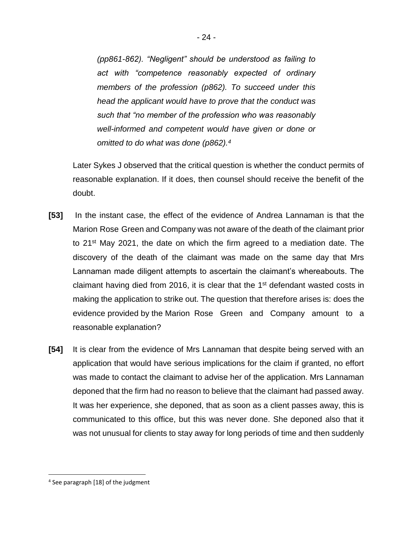*(pp861-862). "Negligent" should be understood as failing to act with "competence reasonably expected of ordinary members of the profession (p862). To succeed under this head the applicant would have to prove that the conduct was such that "no member of the profession who was reasonably well-informed and competent would have given or done or omitted to do what was done (p862).<sup>4</sup>*

Later Sykes J observed that the critical question is whether the conduct permits of reasonable explanation. If it does, then counsel should receive the benefit of the doubt.

- **[53]** In the instant case, the effect of the evidence of Andrea Lannaman is that the Marion Rose Green and Company was not aware of the death of the claimant prior to 21<sup>st</sup> May 2021, the date on which the firm agreed to a mediation date. The discovery of the death of the claimant was made on the same day that Mrs Lannaman made diligent attempts to ascertain the claimant's whereabouts. The claimant having died from 2016, it is clear that the 1<sup>st</sup> defendant wasted costs in making the application to strike out. The question that therefore arises is: does the evidence provided by the Marion Rose Green and Company amount to a reasonable explanation?
- **[54]** It is clear from the evidence of Mrs Lannaman that despite being served with an application that would have serious implications for the claim if granted, no effort was made to contact the claimant to advise her of the application. Mrs Lannaman deponed that the firm had no reason to believe that the claimant had passed away. It was her experience, she deponed, that as soon as a client passes away, this is communicated to this office, but this was never done. She deponed also that it was not unusual for clients to stay away for long periods of time and then suddenly

<sup>4</sup> See paragraph [18] of the judgment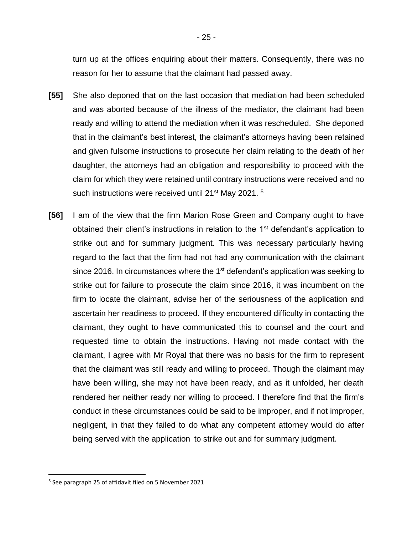turn up at the offices enquiring about their matters. Consequently, there was no reason for her to assume that the claimant had passed away.

- **[55]** She also deponed that on the last occasion that mediation had been scheduled and was aborted because of the illness of the mediator, the claimant had been ready and willing to attend the mediation when it was rescheduled. She deponed that in the claimant's best interest, the claimant's attorneys having been retained and given fulsome instructions to prosecute her claim relating to the death of her daughter, the attorneys had an obligation and responsibility to proceed with the claim for which they were retained until contrary instructions were received and no such instructions were received until 21<sup>st</sup> May 2021.<sup>5</sup>
- **[56]** I am of the view that the firm Marion Rose Green and Company ought to have obtained their client's instructions in relation to the 1<sup>st</sup> defendant's application to strike out and for summary judgment. This was necessary particularly having regard to the fact that the firm had not had any communication with the claimant since 2016. In circumstances where the  $1<sup>st</sup>$  defendant's application was seeking to strike out for failure to prosecute the claim since 2016, it was incumbent on the firm to locate the claimant, advise her of the seriousness of the application and ascertain her readiness to proceed. If they encountered difficulty in contacting the claimant, they ought to have communicated this to counsel and the court and requested time to obtain the instructions. Having not made contact with the claimant, I agree with Mr Royal that there was no basis for the firm to represent that the claimant was still ready and willing to proceed. Though the claimant may have been willing, she may not have been ready, and as it unfolded, her death rendered her neither ready nor willing to proceed. I therefore find that the firm's conduct in these circumstances could be said to be improper, and if not improper, negligent, in that they failed to do what any competent attorney would do after being served with the application to strike out and for summary judgment.

<sup>5</sup> See paragraph 25 of affidavit filed on 5 November 2021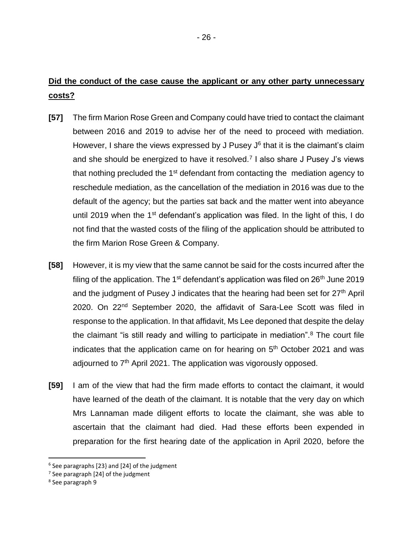## **Did the conduct of the case cause the applicant or any other party unnecessary costs?**

- **[57]** The firm Marion Rose Green and Company could have tried to contact the claimant between 2016 and 2019 to advise her of the need to proceed with mediation. However, I share the views expressed by J Pusey  $J^6$  that it is the claimant's claim and she should be energized to have it resolved.<sup>7</sup> I also share J Pusey J's views that nothing precluded the 1<sup>st</sup> defendant from contacting the mediation agency to reschedule mediation, as the cancellation of the mediation in 2016 was due to the default of the agency; but the parties sat back and the matter went into abeyance until 2019 when the 1<sup>st</sup> defendant's application was filed. In the light of this, I do not find that the wasted costs of the filing of the application should be attributed to the firm Marion Rose Green & Company.
- **[58]** However, it is my view that the same cannot be said for the costs incurred after the filing of the application. The  $1<sup>st</sup>$  defendant's application was filed on  $26<sup>th</sup>$  June 2019 and the judgment of Pusey J indicates that the hearing had been set for 27<sup>th</sup> April 2020. On 22<sup>nd</sup> September 2020, the affidavit of Sara-Lee Scott was filed in response to the application. In that affidavit, Ms Lee deponed that despite the delay the claimant "is still ready and willing to participate in mediation".<sup>8</sup> The court file indicates that the application came on for hearing on  $5<sup>th</sup>$  October 2021 and was adjourned to  $7<sup>th</sup>$  April 2021. The application was vigorously opposed.
- **[59]** I am of the view that had the firm made efforts to contact the claimant, it would have learned of the death of the claimant. It is notable that the very day on which Mrs Lannaman made diligent efforts to locate the claimant, she was able to ascertain that the claimant had died. Had these efforts been expended in preparation for the first hearing date of the application in April 2020, before the

<sup>6</sup> See paragraphs [23} and [24] of the judgment

 $7$  See paragraph [24] of the judgment

<sup>8</sup> See paragraph 9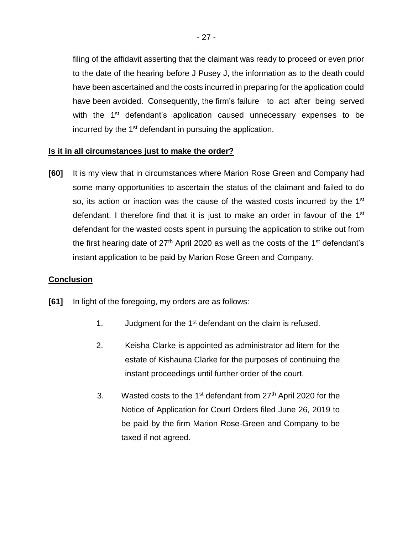filing of the affidavit asserting that the claimant was ready to proceed or even prior to the date of the hearing before J Pusey J, the information as to the death could have been ascertained and the costs incurred in preparing for the application could have been avoided. Consequently, the firm's failure to act after being served with the 1<sup>st</sup> defendant's application caused unnecessary expenses to be incurred by the 1<sup>st</sup> defendant in pursuing the application.

## **Is it in all circumstances just to make the order?**

**[60]** It is my view that in circumstances where Marion Rose Green and Company had some many opportunities to ascertain the status of the claimant and failed to do so, its action or inaction was the cause of the wasted costs incurred by the 1<sup>st</sup> defendant. I therefore find that it is just to make an order in favour of the 1<sup>st</sup> defendant for the wasted costs spent in pursuing the application to strike out from the first hearing date of  $27<sup>th</sup>$  April 2020 as well as the costs of the 1<sup>st</sup> defendant's instant application to be paid by Marion Rose Green and Company.

#### **Conclusion**

- **[61]** In light of the foregoing, my orders are as follows:
	- 1. Judgment for the 1st defendant on the claim is refused.
	- 2. Keisha Clarke is appointed as administrator ad litem for the estate of Kishauna Clarke for the purposes of continuing the instant proceedings until further order of the court.
	- 3. Wasted costs to the 1<sup>st</sup> defendant from 27<sup>th</sup> April 2020 for the Notice of Application for Court Orders filed June 26, 2019 to be paid by the firm Marion Rose-Green and Company to be taxed if not agreed.